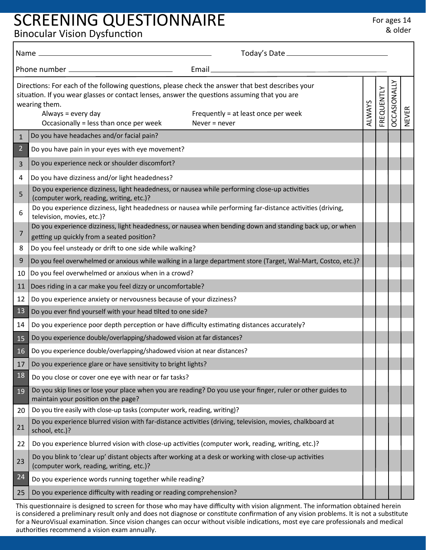## SCREENING QUESTIONNAIRE For ages 14

Binocular Vision Dysfunction

|                                                         | Name __                                                                                                                                                                                                                                                                                                                                      |        |            |                     |              |
|---------------------------------------------------------|----------------------------------------------------------------------------------------------------------------------------------------------------------------------------------------------------------------------------------------------------------------------------------------------------------------------------------------------|--------|------------|---------------------|--------------|
| Phone number _________________________________<br>Email |                                                                                                                                                                                                                                                                                                                                              |        |            |                     |              |
|                                                         | Directions: For each of the following questions, please check the answer that best describes your<br>situation. If you wear glasses or contact lenses, answer the questions assuming that you are<br>wearing them.<br>Always = every day<br>Frequently = at least once per week<br>Occasionally = less than once per week<br>Never $=$ never | ALWAYS | FREQUENTLY | <b>DCCASIONALLY</b> | <b>NEVER</b> |
| $\mathbf{1}$                                            | Do you have headaches and/or facial pain?                                                                                                                                                                                                                                                                                                    |        |            |                     |              |
| $\overline{2}$                                          | Do you have pain in your eyes with eye movement?                                                                                                                                                                                                                                                                                             |        |            |                     |              |
| 3                                                       | Do you experience neck or shoulder discomfort?                                                                                                                                                                                                                                                                                               |        |            |                     |              |
| 4                                                       | Do you have dizziness and/or light headedness?                                                                                                                                                                                                                                                                                               |        |            |                     |              |
| 5                                                       | Do you experience dizziness, light headedness, or nausea while performing close-up activities<br>(computer work, reading, writing, etc.)?                                                                                                                                                                                                    |        |            |                     |              |
| 6                                                       | Do you experience dizziness, light headedness or nausea while performing far-distance activities (driving,<br>television, movies, etc.)?                                                                                                                                                                                                     |        |            |                     |              |
| 7                                                       | Do you experience dizziness, light headedness, or nausea when bending down and standing back up, or when<br>getting up quickly from a seated position?                                                                                                                                                                                       |        |            |                     |              |
| 8                                                       | Do you feel unsteady or drift to one side while walking?                                                                                                                                                                                                                                                                                     |        |            |                     |              |
| 9                                                       | Do you feel overwhelmed or anxious while walking in a large department store (Target, Wal-Mart, Costco, etc.)?                                                                                                                                                                                                                               |        |            |                     |              |
| 10                                                      | Do you feel overwhelmed or anxious when in a crowd?                                                                                                                                                                                                                                                                                          |        |            |                     |              |
| 11                                                      | Does riding in a car make you feel dizzy or uncomfortable?                                                                                                                                                                                                                                                                                   |        |            |                     |              |
| 12                                                      | Do you experience anxiety or nervousness because of your dizziness?                                                                                                                                                                                                                                                                          |        |            |                     |              |
| 13                                                      | Do you ever find yourself with your head tilted to one side?                                                                                                                                                                                                                                                                                 |        |            |                     |              |
| 14                                                      | Do you experience poor depth perception or have difficulty estimating distances accurately?                                                                                                                                                                                                                                                  |        |            |                     |              |
| 15                                                      | Do you experience double/overlapping/shadowed vision at far distances?                                                                                                                                                                                                                                                                       |        |            |                     |              |
| 16                                                      | Do you experience double/overlapping/shadowed vision at near distances?                                                                                                                                                                                                                                                                      |        |            |                     |              |
| 17                                                      | Do you experience glare or have sensitivity to bright lights?                                                                                                                                                                                                                                                                                |        |            |                     |              |
| 18                                                      | Do you close or cover one eye with near or far tasks?                                                                                                                                                                                                                                                                                        |        |            |                     |              |
| 19                                                      | Do you skip lines or lose your place when you are reading? Do you use your finger, ruler or other guides to<br>maintain your position on the page?                                                                                                                                                                                           |        |            |                     |              |
| 20                                                      | Do you tire easily with close-up tasks (computer work, reading, writing)?                                                                                                                                                                                                                                                                    |        |            |                     |              |
| 21                                                      | Do you experience blurred vision with far-distance activities (driving, television, movies, chalkboard at<br>school, etc.)?                                                                                                                                                                                                                  |        |            |                     |              |
| 22                                                      | Do you experience blurred vision with close-up activities (computer work, reading, writing, etc.)?                                                                                                                                                                                                                                           |        |            |                     |              |
| 23                                                      | Do you blink to 'clear up' distant objects after working at a desk or working with close-up activities<br>(computer work, reading, writing, etc.)?                                                                                                                                                                                           |        |            |                     |              |
| 24                                                      | Do you experience words running together while reading?                                                                                                                                                                                                                                                                                      |        |            |                     |              |
| 25                                                      | Do you experience difficulty with reading or reading comprehension?                                                                                                                                                                                                                                                                          |        |            |                     |              |

This questionnaire is designed to screen for those who may have difficulty with vision alignment. The information obtained herein is considered a preliminary result only and does not diagnose or constitute confirmation of any vision problems. It is not a substitute for a NeuroVisual examination. Since vision changes can occur without visible indications, most eye care professionals and medical authorities recommend a vision exam annually.

& older